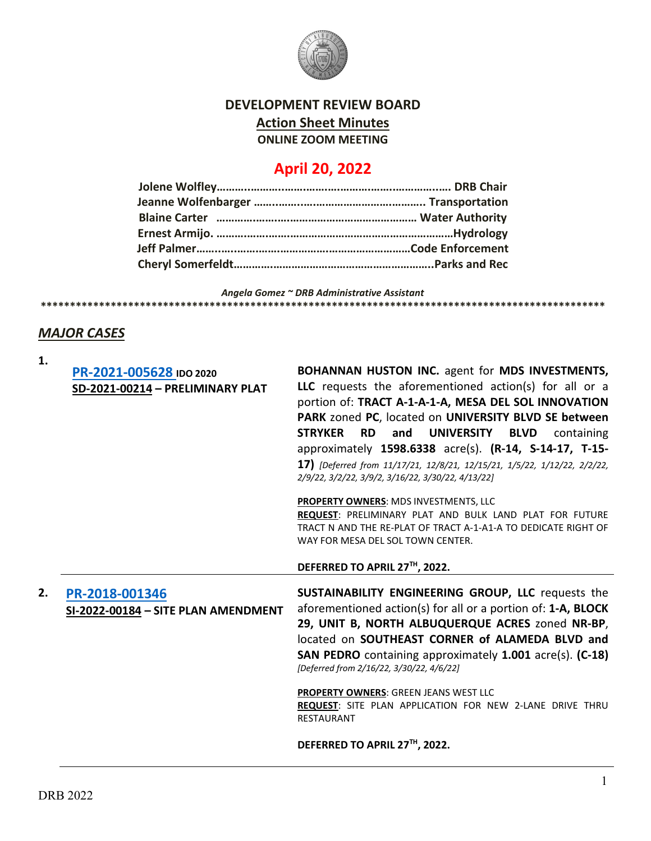

## **DEVELOPMENT REVIEW BOARD Action Sheet Minutes ONLINE ZOOM MEETING**

# **April 20, 2022**

*Angela Gomez ~ DRB Administrative Assistant* **\*\*\*\*\*\*\*\*\*\*\*\*\*\*\*\*\*\*\*\*\*\*\*\*\*\*\*\*\*\*\*\*\*\*\*\*\*\*\*\*\*\*\*\*\*\*\*\*\*\*\*\*\*\*\*\*\*\*\*\*\*\*\*\*\*\*\*\*\*\*\*\*\*\*\*\*\*\*\*\*\*\*\*\*\*\*\*\*\*\*\*\*\*\*\*\*\***

#### *MAJOR CASES*

| 1. |                                                       |                                                                                                                                                                                                                                                                                                                          |
|----|-------------------------------------------------------|--------------------------------------------------------------------------------------------------------------------------------------------------------------------------------------------------------------------------------------------------------------------------------------------------------------------------|
|    | PR-2021-005628 IDO 2020                               | BOHANNAN HUSTON INC. agent for MDS INVESTMENTS,                                                                                                                                                                                                                                                                          |
|    | SD-2021-00214 - PRELIMINARY PLAT                      | LLC requests the aforementioned action(s) for all or a<br>portion of: TRACT A-1-A-1-A, MESA DEL SOL INNOVATION<br>PARK zoned PC, located on UNIVERSITY BLVD SE between<br><b>STRYKER</b><br><b>RD</b><br><b>UNIVERSITY</b><br>and<br><b>BLVD</b><br>containing<br>approximately 1598.6338 acre(s). (R-14, S-14-17, T-15- |
|    |                                                       | 17) [Deferred from 11/17/21, 12/8/21, 12/15/21, 1/5/22, 1/12/22, 2/2/22,<br>2/9/22, 3/2/22, 3/9/2, 3/16/22, 3/30/22, 4/13/22]                                                                                                                                                                                            |
|    |                                                       | PROPERTY OWNERS: MDS INVESTMENTS, LLC                                                                                                                                                                                                                                                                                    |
|    |                                                       | <b>REQUEST: PRELIMINARY PLAT AND BULK LAND PLAT FOR FUTURE</b>                                                                                                                                                                                                                                                           |
|    |                                                       | TRACT N AND THE RE-PLAT OF TRACT A-1-A1-A TO DEDICATE RIGHT OF                                                                                                                                                                                                                                                           |
|    |                                                       | WAY FOR MESA DEL SOL TOWN CENTER.                                                                                                                                                                                                                                                                                        |
|    |                                                       | DEFERRED TO APRIL 27™, 2022.                                                                                                                                                                                                                                                                                             |
| 2. | PR-2018-001346<br>SI-2022-00184 - SITE PLAN AMENDMENT | SUSTAINABILITY ENGINEERING GROUP, LLC requests the<br>aforementioned action(s) for all or a portion of: 1-A, BLOCK<br>29, UNIT B, NORTH ALBUQUERQUE ACRES zoned NR-BP,<br>located on SOUTHEAST CORNER of ALAMEDA BLVD and<br>SAN PEDRO containing approximately 1.001 acre(s). (C-18)                                    |
|    |                                                       | [Deferred from 2/16/22, 3/30/22, 4/6/22]                                                                                                                                                                                                                                                                                 |
|    |                                                       |                                                                                                                                                                                                                                                                                                                          |
|    |                                                       | <b>PROPERTY OWNERS: GREEN JEANS WEST LLC</b>                                                                                                                                                                                                                                                                             |
|    |                                                       | REQUEST: SITE PLAN APPLICATION FOR NEW 2-LANE DRIVE THRU<br><b>RESTAURANT</b>                                                                                                                                                                                                                                            |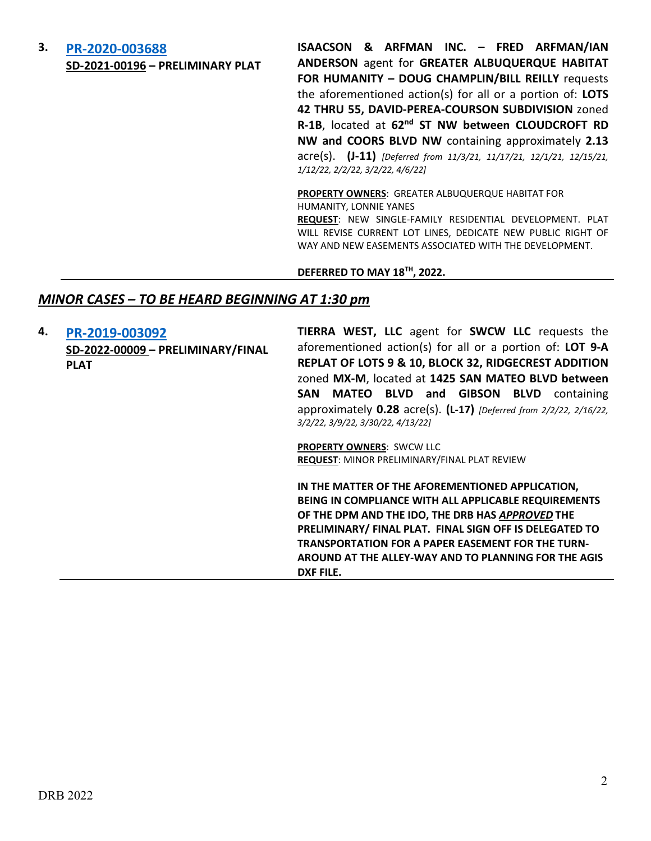### **3. [PR-2020-003688](http://data.cabq.gov/government/planning/DRB/PR-2020-003688/DRB%20Submittals/) SD-2021-00196 – PRELIMINARY PLAT**

**ISAACSON & ARFMAN INC. – FRED ARFMAN/IAN ANDERSON** agent for **GREATER ALBUQUERQUE HABITAT FOR HUMANITY – DOUG CHAMPLIN/BILL REILLY** requests the aforementioned action(s) for all or a portion of: **LOTS 42 THRU 55, DAVID-PEREA-COURSON SUBDIVISION** zoned **R-1B**, located at **62nd ST NW between CLOUDCROFT RD NW and COORS BLVD NW** containing approximately **2.13** acre(s). **(J-11)** *[Deferred from 11/3/21, 11/17/21, 12/1/21, 12/15/21, 1/12/22, 2/2/22, 3/2/22, 4/6/22]*

**PROPERTY OWNERS**: GREATER ALBUQUERQUE HABITAT FOR HUMANITY, LONNIE YANES

**REQUEST**: NEW SINGLE-FAMILY RESIDENTIAL DEVELOPMENT. PLAT WILL REVISE CURRENT LOT LINES, DEDICATE NEW PUBLIC RIGHT OF WAY AND NEW EASEMENTS ASSOCIATED WITH THE DEVELOPMENT.

**DEFERRED TO MAY 18TH, 2022.**

#### *MINOR CASES – TO BE HEARD BEGINNING AT 1:30 pm*

**4. [PR-2019-003092](http://data.cabq.gov/government/planning/DRB/PR-2019-003092/DRB%20Submittals/)**

**SD-2022-00009 – PRELIMINARY/FINAL PLAT**

**TIERRA WEST, LLC** agent for **SWCW LLC** requests the aforementioned action(s) for all or a portion of: **LOT 9-A REPLAT OF LOTS 9 & 10, BLOCK 32, RIDGECREST ADDITION**  zoned **MX-M**, located at **1425 SAN MATEO BLVD between SAN MATEO BLVD and GIBSON BLVD** containing approximately **0.28** acre(s). **(L-17)** *[Deferred from 2/2/22, 2/16/22, 3/2/22, 3/9/22, 3/30/22, 4/13/22]*

**PROPERTY OWNERS**: SWCW LLC **REQUEST**: MINOR PRELIMINARY/FINAL PLAT REVIEW

**IN THE MATTER OF THE AFOREMENTIONED APPLICATION, BEING IN COMPLIANCE WITH ALL APPLICABLE REQUIREMENTS OF THE DPM AND THE IDO, THE DRB HAS** *APPROVED* **THE PRELIMINARY/ FINAL PLAT. FINAL SIGN OFF IS DELEGATED TO TRANSPORTATION FOR A PAPER EASEMENT FOR THE TURN-AROUND AT THE ALLEY-WAY AND TO PLANNING FOR THE AGIS DXF FILE.**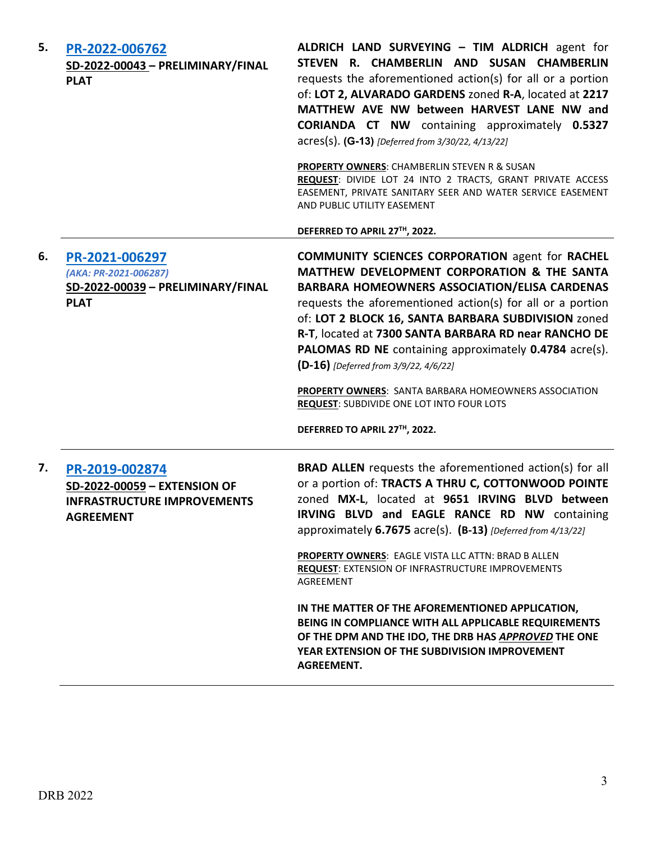| 5. | PR-2022-006762<br>SD-2022-00043 - PRELIMINARY/FINAL<br><b>PLAT</b>                                       | ALDRICH LAND SURVEYING - TIM ALDRICH agent for<br>STEVEN R. CHAMBERLIN AND SUSAN CHAMBERLIN<br>requests the aforementioned action(s) for all or a portion<br>of: LOT 2, ALVARADO GARDENS zoned R-A, located at 2217<br>MATTHEW AVE NW between HARVEST LANE NW and<br><b>CORIANDA CT NW</b> containing approximately 0.5327<br>acres(s). (G-13) [Deferred from 3/30/22, 4/13/22]<br><b>PROPERTY OWNERS: CHAMBERLIN STEVEN R &amp; SUSAN</b><br>REQUEST: DIVIDE LOT 24 INTO 2 TRACTS, GRANT PRIVATE ACCESS<br>EASEMENT, PRIVATE SANITARY SEER AND WATER SERVICE EASEMENT<br>AND PUBLIC UTILITY EASEMENT<br>DEFERRED TO APRIL 27TH, 2022.                              |
|----|----------------------------------------------------------------------------------------------------------|---------------------------------------------------------------------------------------------------------------------------------------------------------------------------------------------------------------------------------------------------------------------------------------------------------------------------------------------------------------------------------------------------------------------------------------------------------------------------------------------------------------------------------------------------------------------------------------------------------------------------------------------------------------------|
| 6. | PR-2021-006297<br>(AKA: PR-2021-006287)<br>SD-2022-00039 - PRELIMINARY/FINAL<br><b>PLAT</b>              | <b>COMMUNITY SCIENCES CORPORATION agent for RACHEL</b><br>MATTHEW DEVELOPMENT CORPORATION & THE SANTA<br><b>BARBARA HOMEOWNERS ASSOCIATION/ELISA CARDENAS</b><br>requests the aforementioned action(s) for all or a portion<br>of: LOT 2 BLOCK 16, SANTA BARBARA SUBDIVISION zoned<br>R-T, located at 7300 SANTA BARBARA RD near RANCHO DE<br>PALOMAS RD NE containing approximately 0.4784 acre(s).<br>(D-16) [Deferred from 3/9/22, 4/6/22]<br><b>PROPERTY OWNERS: SANTA BARBARA HOMEOWNERS ASSOCIATION</b><br>REQUEST: SUBDIVIDE ONE LOT INTO FOUR LOTS<br>DEFERRED TO APRIL 27TH, 2022.                                                                         |
| 7. | PR-2019-002874<br>SD-2022-00059 - EXTENSION OF<br><b>INFRASTRUCTURE IMPROVEMENTS</b><br><b>AGREEMENT</b> | <b>BRAD ALLEN</b> requests the aforementioned action(s) for all<br>or a portion of: TRACTS A THRU C, COTTONWOOD POINTE<br>zoned MX-L, located at 9651 IRVING BLVD between<br>IRVING BLVD and EAGLE RANCE RD NW containing<br>approximately 6.7675 acre(s). (B-13) [Deferred from 4/13/22]<br>PROPERTY OWNERS: EAGLE VISTA LLC ATTN: BRAD B ALLEN<br><b>REQUEST: EXTENSION OF INFRASTRUCTURE IMPROVEMENTS</b><br>AGREEMENT<br>IN THE MATTER OF THE AFOREMENTIONED APPLICATION,<br>BEING IN COMPLIANCE WITH ALL APPLICABLE REQUIREMENTS<br>OF THE DPM AND THE IDO, THE DRB HAS APPROVED THE ONE<br>YEAR EXTENSION OF THE SUBDIVISION IMPROVEMENT<br><b>AGREEMENT.</b> |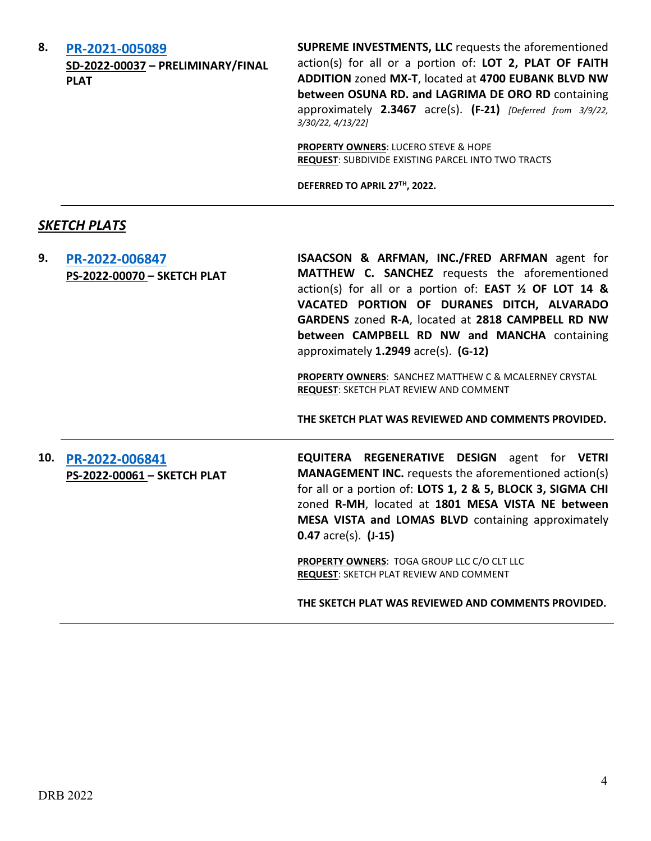**8. [PR-2021-005089](http://data.cabq.gov/government/planning/DRB/PR-2021-005089/DRB%20Submittals/)  SD-2022-00037 – PRELIMINARY/FINAL PLAT**

**SUPREME INVESTMENTS, LLC** requests the aforementioned action(s) for all or a portion of: **LOT 2, PLAT OF FAITH ADDITION** zoned **MX-T**, located at **4700 EUBANK BLVD NW between OSUNA RD. and LAGRIMA DE ORO RD** containing approximately **2.3467** acre(s). **(F-21)** *[Deferred from 3/9/22, 3/30/22, 4/13/22]* 

**PROPERTY OWNERS**: LUCERO STEVE & HOPE **REQUEST**: SUBDIVIDE EXISTING PARCEL INTO TWO TRACTS

**DEFERRED TO APRIL 27TH, 2022.**

#### *SKETCH PLATS*

**9. [PR-2022-006847](http://data.cabq.gov/government/planning/DRB/PR-2022-006847/DRB%20Submittals/PR-2022-006847_April_20_2022%20(Sketch)/Application/DRB%20APPLICATION%20PACKAGE%20(1).pdf) PS-2022-00070 – SKETCH PLAT** **ISAACSON & ARFMAN, INC./FRED ARFMAN** agent for **MATTHEW C. SANCHEZ** requests the aforementioned action(s) for all or a portion of: **EAST ½ OF LOT 14 & VACATED PORTION OF DURANES DITCH, ALVARADO GARDENS** zoned **R-A**, located at **2818 CAMPBELL RD NW between CAMPBELL RD NW and MANCHA** containing approximately **1.2949** acre(s). **(G-12)**

**PROPERTY OWNERS**: SANCHEZ MATTHEW C & MCALERNEY CRYSTAL **REQUEST**: SKETCH PLAT REVIEW AND COMMENT

**THE SKETCH PLAT WAS REVIEWED AND COMMENTS PROVIDED.** 

## **10. [PR-2022-006841](http://data.cabq.gov/government/planning/DRB/PR-2022-006841/DRB%20Submittals/PR-2022-006841_April_20_2022%20(Sketch)/Application/1801MesaVista-SketchPlatApplication.pdf) PS-2022-00061 – SKETCH PLAT**

**EQUITERA REGENERATIVE DESIGN** agent for **VETRI MANAGEMENT INC.** requests the aforementioned action(s) for all or a portion of: **LOTS 1, 2 & 5, BLOCK 3, SIGMA CHI** zoned **R-MH**, located at **1801 MESA VISTA NE between MESA VISTA and LOMAS BLVD** containing approximately **0.47** acre(s). **(J-15)**

**PROPERTY OWNERS**: TOGA GROUP LLC C/O CLT LLC **REQUEST**: SKETCH PLAT REVIEW AND COMMENT

**THE SKETCH PLAT WAS REVIEWED AND COMMENTS PROVIDED.**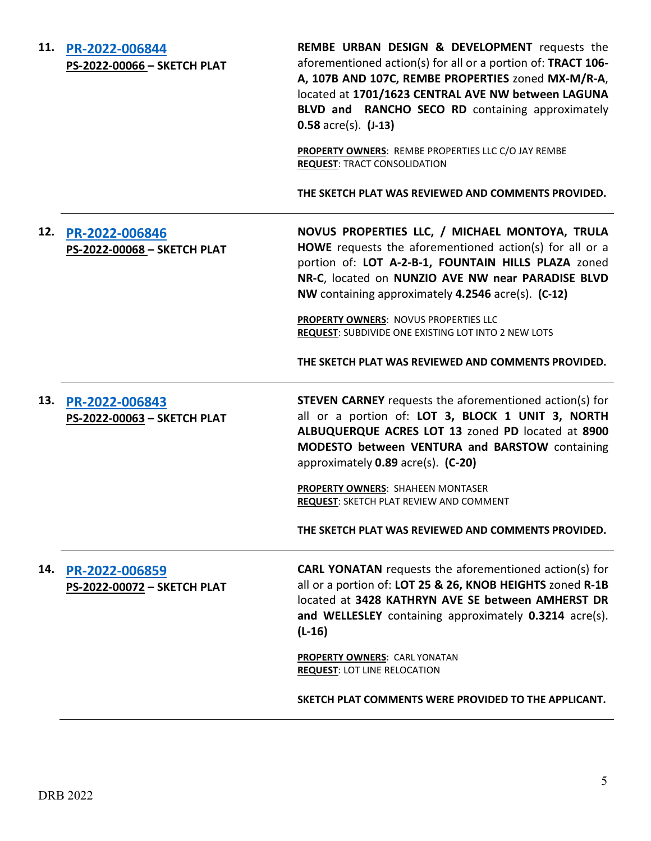| 11. | PR-2022-006844<br>PS-2022-00066 - SKETCH PLAT | <b>REMBE URBAN DESIGN &amp; DEVELOPMENT</b> requests the<br>aforementioned action(s) for all or a portion of: TRACT 106-<br>A, 107B AND 107C, REMBE PROPERTIES zoned MX-M/R-A,<br>located at 1701/1623 CENTRAL AVE NW between LAGUNA<br>BLVD and RANCHO SECO RD containing approximately<br>$0.58$ acre(s). $(J-13)$<br>PROPERTY OWNERS: REMBE PROPERTIES LLC C/O JAY REMBE<br><b>REQUEST: TRACT CONSOLIDATION</b> |
|-----|-----------------------------------------------|--------------------------------------------------------------------------------------------------------------------------------------------------------------------------------------------------------------------------------------------------------------------------------------------------------------------------------------------------------------------------------------------------------------------|
|     |                                               | THE SKETCH PLAT WAS REVIEWED AND COMMENTS PROVIDED.                                                                                                                                                                                                                                                                                                                                                                |
| 12. | PR-2022-006846<br>PS-2022-00068 - SKETCH PLAT | NOVUS PROPERTIES LLC, / MICHAEL MONTOYA, TRULA<br>HOWE requests the aforementioned action(s) for all or a<br>portion of: LOT A-2-B-1, FOUNTAIN HILLS PLAZA zoned<br>NR-C, located on NUNZIO AVE NW near PARADISE BLVD<br>NW containing approximately 4.2546 acre(s). (C-12)                                                                                                                                        |
|     |                                               | PROPERTY OWNERS: NOVUS PROPERTIES LLC<br>REQUEST: SUBDIVIDE ONE EXISTING LOT INTO 2 NEW LOTS                                                                                                                                                                                                                                                                                                                       |
|     |                                               | THE SKETCH PLAT WAS REVIEWED AND COMMENTS PROVIDED.                                                                                                                                                                                                                                                                                                                                                                |
| 13. | PR-2022-006843<br>PS-2022-00063 - SKETCH PLAT | <b>STEVEN CARNEY</b> requests the aforementioned action(s) for<br>all or a portion of: LOT 3, BLOCK 1 UNIT 3, NORTH<br>ALBUQUERQUE ACRES LOT 13 zoned PD located at 8900<br>MODESTO between VENTURA and BARSTOW containing<br>approximately 0.89 acre(s). (C-20)                                                                                                                                                   |
|     |                                               | <b>PROPERTY OWNERS: SHAHEEN MONTASER</b><br>REQUEST: SKETCH PLAT REVIEW AND COMMENT                                                                                                                                                                                                                                                                                                                                |
|     |                                               | THE SKETCH PLAT WAS REVIEWED AND COMMENTS PROVIDED.                                                                                                                                                                                                                                                                                                                                                                |
| 14. | PR-2022-006859<br>PS-2022-00072 - SKETCH PLAT | <b>CARL YONATAN</b> requests the aforementioned action(s) for<br>all or a portion of: LOT 25 & 26, KNOB HEIGHTS zoned R-1B<br>located at 3428 KATHRYN AVE SE between AMHERST DR<br>and WELLESLEY containing approximately 0.3214 acre(s).<br>$(L-16)$                                                                                                                                                              |
|     |                                               | <b>PROPERTY OWNERS: CARL YONATAN</b><br><b>REQUEST: LOT LINE RELOCATION</b>                                                                                                                                                                                                                                                                                                                                        |
|     |                                               | SKETCH PLAT COMMENTS WERE PROVIDED TO THE APPLICANT.                                                                                                                                                                                                                                                                                                                                                               |